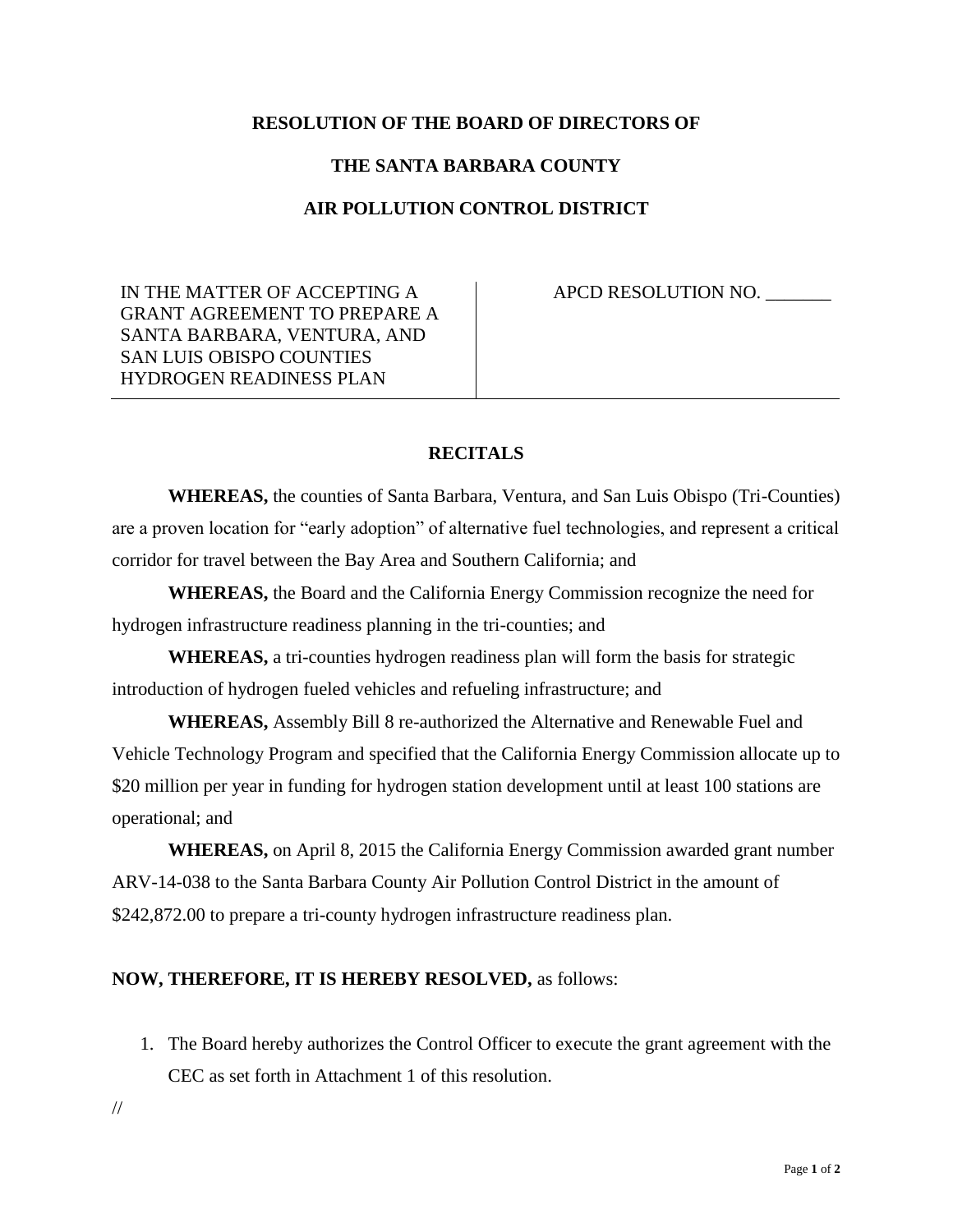### **RESOLUTION OF THE BOARD OF DIRECTORS OF**

#### **THE SANTA BARBARA COUNTY**

### **AIR POLLUTION CONTROL DISTRICT**

IN THE MATTER OF ACCEPTING A GRANT AGREEMENT TO PREPARE A SANTA BARBARA, VENTURA, AND SAN LUIS OBISPO COUNTIES HYDROGEN READINESS PLAN

APCD RESOLUTION NO.

### **RECITALS**

**WHEREAS,** the counties of Santa Barbara, Ventura, and San Luis Obispo (Tri-Counties) are a proven location for "early adoption" of alternative fuel technologies, and represent a critical corridor for travel between the Bay Area and Southern California; and

**WHEREAS,** the Board and the California Energy Commission recognize the need for hydrogen infrastructure readiness planning in the tri-counties; and

**WHEREAS,** a tri-counties hydrogen readiness plan will form the basis for strategic introduction of hydrogen fueled vehicles and refueling infrastructure; and

**WHEREAS,** Assembly Bill 8 re-authorized the Alternative and Renewable Fuel and Vehicle Technology Program and specified that the California Energy Commission allocate up to \$20 million per year in funding for hydrogen station development until at least 100 stations are operational; and

**WHEREAS,** on April 8, 2015 the California Energy Commission awarded grant number ARV-14-038 to the Santa Barbara County Air Pollution Control District in the amount of \$242,872.00 to prepare a tri-county hydrogen infrastructure readiness plan.

#### **NOW, THEREFORE, IT IS HEREBY RESOLVED,** as follows:

- 1. The Board hereby authorizes the Control Officer to execute the grant agreement with the CEC as set forth in Attachment 1 of this resolution.
- //